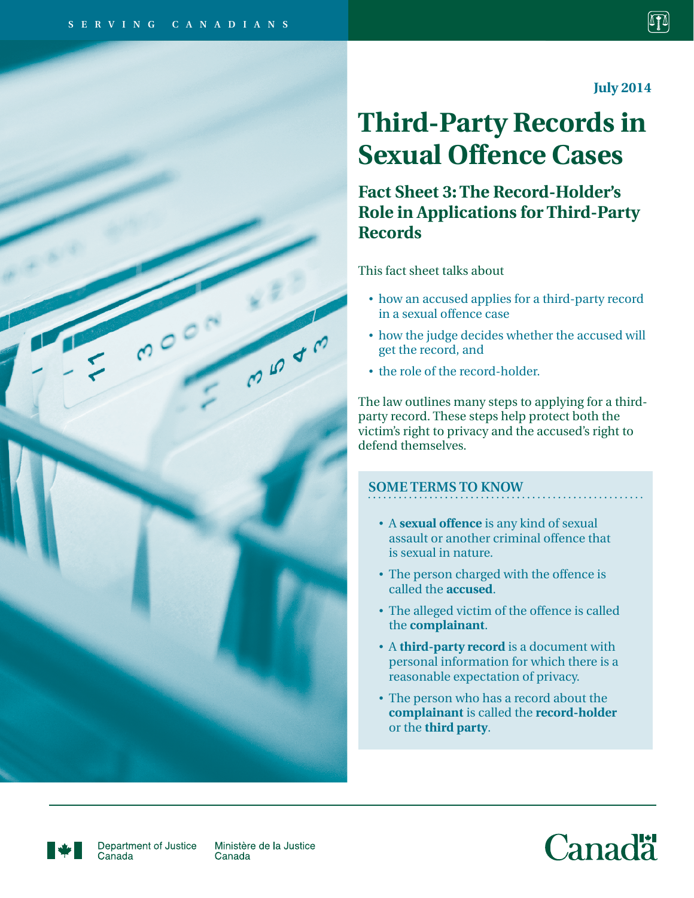**July 2014**

# **Third-Party Records in Sexual Offence Cases**

**Fact Sheet 3: The Record-Holder's Role in Applications for Third-Party Records**

This fact sheet talks about

- • how an accused applies for a third-party record in a sexual offence case
- • how the judge decides whether the accused will get the record, and
- the role of the record-holder.

The law outlines many steps to applying for a thirdparty record. These steps help protect both the victim's right to privacy and the accused's right to defend themselves.

## **SOME TERMS TO KNOW**

- A **sexual offence** is any kind of sexual assault or another criminal offence that is sexual in nature.
- The person charged with the offence is called the **accused**.
- The alleged victim of the offence is called the **complainant**.
- A **third-party record** is a document with personal information for which there is a reasonable expectation of privacy.
- The person who has a record about the **complainant** is called the **record-holder** or the **third party**.





Department of Justice Canada

Ministère de la Justice Canada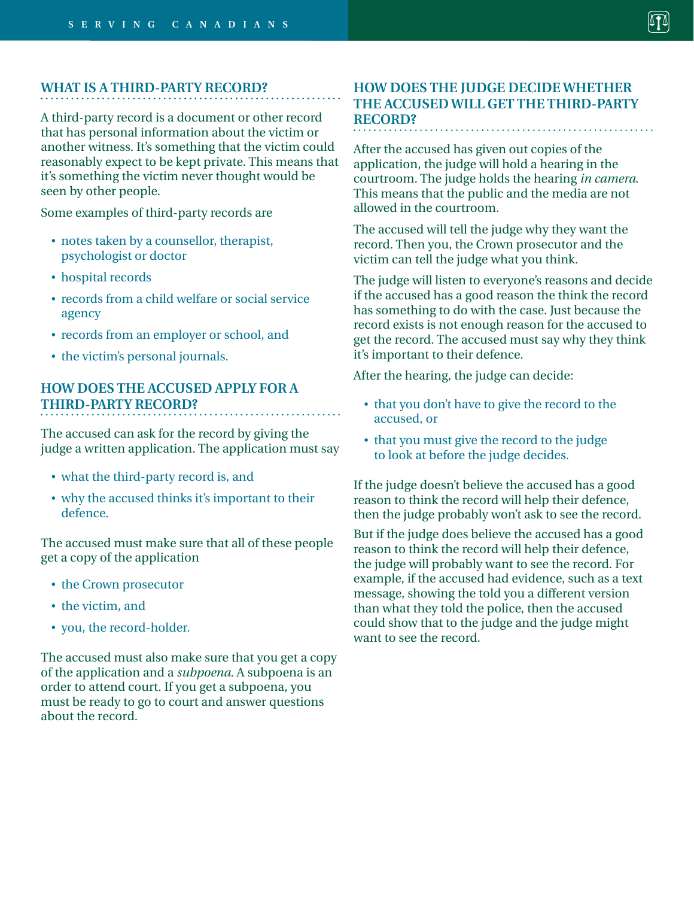#### **WHAT IS A THIRD-PARTY RECORD?**

A third-party record is a document or other record that has personal information about the victim or another witness. It's something that the victim could reasonably expect to be kept private. This means that it's something the victim never thought would be seen by other people.

Some examples of third-party records are

- notes taken by a counsellor, therapist, psychologist or doctor
- hospital records
- records from a child welfare or social service agency
- records from an employer or school, and
- the victim's personal journals.

## **HOW DOES THE ACCUSED APPLY FOR A THIRD-PARTY RECORD?**

The accused can ask for the record by giving the judge a written application. The application must say

- what the third-party record is, and
- why the accused thinks it's important to their defence.

The accused must make sure that all of these people get a copy of the application

- the Crown prosecutor
- the victim, and
- you, the record-holder.

The accused must also make sure that you get a copy of the application and a *subpoena*. A subpoena is an order to attend court. If you get a subpoena, you must be ready to go to court and answer questions about the record.

#### **HOW DOES THE JUDGE DECIDE WHETHER THE ACCUSED WILL GET THE THIRD-PARTY RECORD?**

After the accused has given out copies of the application, the judge will hold a hearing in the courtroom. The judge holds the hearing *in camera*. This means that the public and the media are not allowed in the courtroom.

The accused will tell the judge why they want the record. Then you, the Crown prosecutor and the victim can tell the judge what you think.

The judge will listen to everyone's reasons and decide if the accused has a good reason the think the record has something to do with the case. Just because the record exists is not enough reason for the accused to get the record. The accused must say why they think it's important to their defence.

After the hearing, the judge can decide:

- that you don't have to give the record to the accused, or
- that you must give the record to the judge to look at before the judge decides.

If the judge doesn't believe the accused has a good reason to think the record will help their defence, then the judge probably won't ask to see the record.

But if the judge does believe the accused has a good reason to think the record will help their defence, the judge will probably want to see the record. For example, if the accused had evidence, such as a text message, showing the told you a different version than what they told the police, then the accused could show that to the judge and the judge might want to see the record.